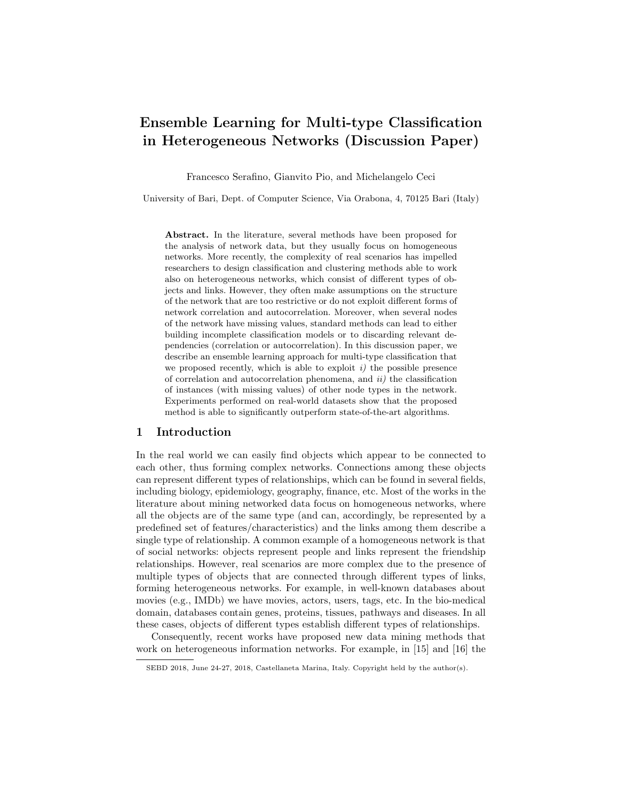# Ensemble Learning for Multi-type Classification in Heterogeneous Networks (Discussion Paper)

Francesco Serafino, Gianvito Pio, and Michelangelo Ceci

University of Bari, Dept. of Computer Science, Via Orabona, 4, 70125 Bari (Italy)

Abstract. In the literature, several methods have been proposed for the analysis of network data, but they usually focus on homogeneous networks. More recently, the complexity of real scenarios has impelled researchers to design classification and clustering methods able to work also on heterogeneous networks, which consist of different types of objects and links. However, they often make assumptions on the structure of the network that are too restrictive or do not exploit different forms of network correlation and autocorrelation. Moreover, when several nodes of the network have missing values, standard methods can lead to either building incomplete classification models or to discarding relevant dependencies (correlation or autocorrelation). In this discussion paper, we describe an ensemble learning approach for multi-type classification that we proposed recently, which is able to exploit  $i$ ) the possible presence of correlation and autocorrelation phenomena, and  $ii$ ) the classification of instances (with missing values) of other node types in the network. Experiments performed on real-world datasets show that the proposed method is able to significantly outperform state-of-the-art algorithms.

## 1 Introduction

In the real world we can easily find objects which appear to be connected to each other, thus forming complex networks. Connections among these objects can represent different types of relationships, which can be found in several fields, including biology, epidemiology, geography, finance, etc. Most of the works in the literature about mining networked data focus on homogeneous networks, where all the objects are of the same type (and can, accordingly, be represented by a predefined set of features/characteristics) and the links among them describe a single type of relationship. A common example of a homogeneous network is that of social networks: objects represent people and links represent the friendship relationships. However, real scenarios are more complex due to the presence of multiple types of objects that are connected through different types of links, forming heterogeneous networks. For example, in well-known databases about movies (e.g., IMDb) we have movies, actors, users, tags, etc. In the bio-medical domain, databases contain genes, proteins, tissues, pathways and diseases. In all these cases, objects of different types establish different types of relationships.

Consequently, recent works have proposed new data mining methods that work on heterogeneous information networks. For example, in [15] and [16] the

SEBD 2018, June 24-27, 2018, Castellaneta Marina, Italy. Copyright held by the author(s).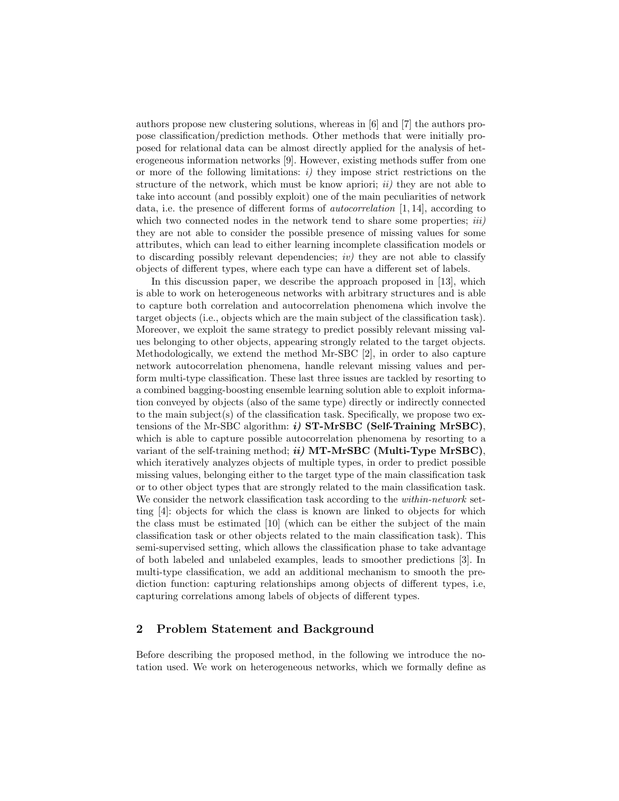authors propose new clustering solutions, whereas in [6] and [7] the authors propose classification/prediction methods. Other methods that were initially proposed for relational data can be almost directly applied for the analysis of heterogeneous information networks [9]. However, existing methods suffer from one or more of the following limitations:  $i$ ) they impose strict restrictions on the structure of the network, which must be know apriori;  $ii)$  they are not able to take into account (and possibly exploit) one of the main peculiarities of network data, i.e. the presence of different forms of autocorrelation [1, 14], according to which two connected nodes in the network tend to share some properties;  $iii)$ they are not able to consider the possible presence of missing values for some attributes, which can lead to either learning incomplete classification models or to discarding possibly relevant dependencies;  $iv$ ) they are not able to classify objects of different types, where each type can have a different set of labels.

In this discussion paper, we describe the approach proposed in [13], which is able to work on heterogeneous networks with arbitrary structures and is able to capture both correlation and autocorrelation phenomena which involve the target objects (i.e., objects which are the main subject of the classification task). Moreover, we exploit the same strategy to predict possibly relevant missing values belonging to other objects, appearing strongly related to the target objects. Methodologically, we extend the method Mr-SBC [2], in order to also capture network autocorrelation phenomena, handle relevant missing values and perform multi-type classification. These last three issues are tackled by resorting to a combined bagging-boosting ensemble learning solution able to exploit information conveyed by objects (also of the same type) directly or indirectly connected to the main subject(s) of the classification task. Specifically, we propose two extensions of the Mr-SBC algorithm:  $i)$  ST-MrSBC (Self-Training MrSBC), which is able to capture possible autocorrelation phenomena by resorting to a variant of the self-training method;  $ii)$  MT-MrSBC (Multi-Type MrSBC), which iteratively analyzes objects of multiple types, in order to predict possible missing values, belonging either to the target type of the main classification task or to other object types that are strongly related to the main classification task. We consider the network classification task according to the *within-network* setting [4]: objects for which the class is known are linked to objects for which the class must be estimated [10] (which can be either the subject of the main classification task or other objects related to the main classification task). This semi-supervised setting, which allows the classification phase to take advantage of both labeled and unlabeled examples, leads to smoother predictions [3]. In multi-type classification, we add an additional mechanism to smooth the prediction function: capturing relationships among objects of different types, i.e, capturing correlations among labels of objects of different types.

# 2 Problem Statement and Background

Before describing the proposed method, in the following we introduce the notation used. We work on heterogeneous networks, which we formally define as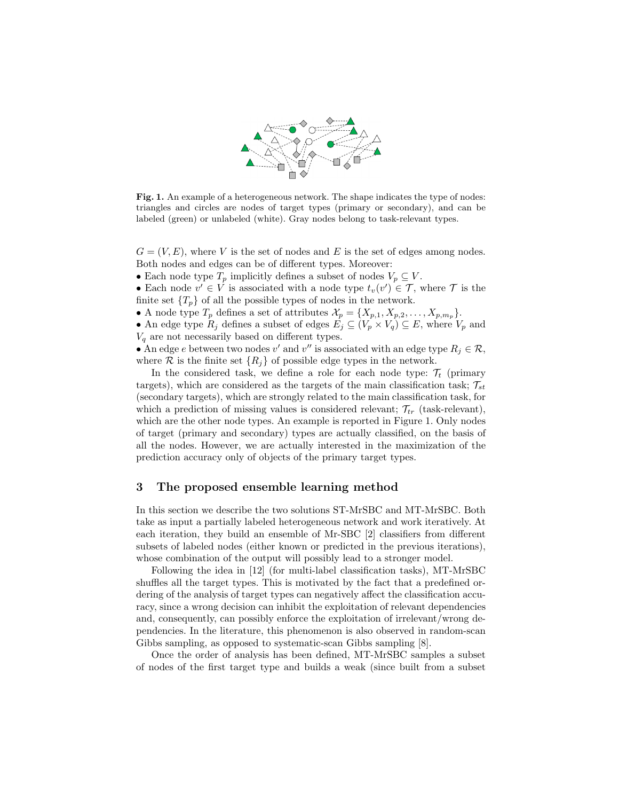

Fig. 1. An example of a heterogeneous network. The shape indicates the type of nodes: triangles and circles are nodes of target types (primary or secondary), and can be labeled (green) or unlabeled (white). Gray nodes belong to task-relevant types.

 $G = (V, E)$ , where V is the set of nodes and E is the set of edges among nodes. Both nodes and edges can be of different types. Moreover:

• Each node type  $T_p$  implicitly defines a subset of nodes  $V_p \subseteq V$ .

• Each node  $v' \in V$  is associated with a node type  $t_v(v') \in \mathcal{T}$ , where  $\mathcal{T}$  is the finite set  $\{T_p\}$  of all the possible types of nodes in the network.

• A node type  $T_p$  defines a set of attributes  $\mathcal{X}_p = \{X_{p,1}, X_{p,2}, \ldots, X_{p,m_p}\}.$ 

• An edge type  $R_j$  defines a subset of edges  $E_j \subseteq (V_p \times V_q) \subseteq E$ , where  $V_p$  and  $V_q$  are not necessarily based on different types.

• An edge e between two nodes v' and v'' is associated with an edge type  $R_j \in \mathcal{R}$ , where  $\mathcal R$  is the finite set  $\{R_i\}$  of possible edge types in the network.

In the considered task, we define a role for each node type:  $\mathcal{T}_t$  (primary targets), which are considered as the targets of the main classification task;  $\mathcal{T}_{st}$ (secondary targets), which are strongly related to the main classification task, for which a prediction of missing values is considered relevant;  $\mathcal{T}_{tr}$  (task-relevant), which are the other node types. An example is reported in Figure 1. Only nodes of target (primary and secondary) types are actually classified, on the basis of all the nodes. However, we are actually interested in the maximization of the prediction accuracy only of objects of the primary target types.

## 3 The proposed ensemble learning method

In this section we describe the two solutions ST-MrSBC and MT-MrSBC. Both take as input a partially labeled heterogeneous network and work iteratively. At each iteration, they build an ensemble of Mr-SBC [2] classifiers from different subsets of labeled nodes (either known or predicted in the previous iterations), whose combination of the output will possibly lead to a stronger model.

Following the idea in [12] (for multi-label classification tasks), MT-MrSBC shuffles all the target types. This is motivated by the fact that a predefined ordering of the analysis of target types can negatively affect the classification accuracy, since a wrong decision can inhibit the exploitation of relevant dependencies and, consequently, can possibly enforce the exploitation of irrelevant/wrong dependencies. In the literature, this phenomenon is also observed in random-scan Gibbs sampling, as opposed to systematic-scan Gibbs sampling [8].

Once the order of analysis has been defined, MT-MrSBC samples a subset of nodes of the first target type and builds a weak (since built from a subset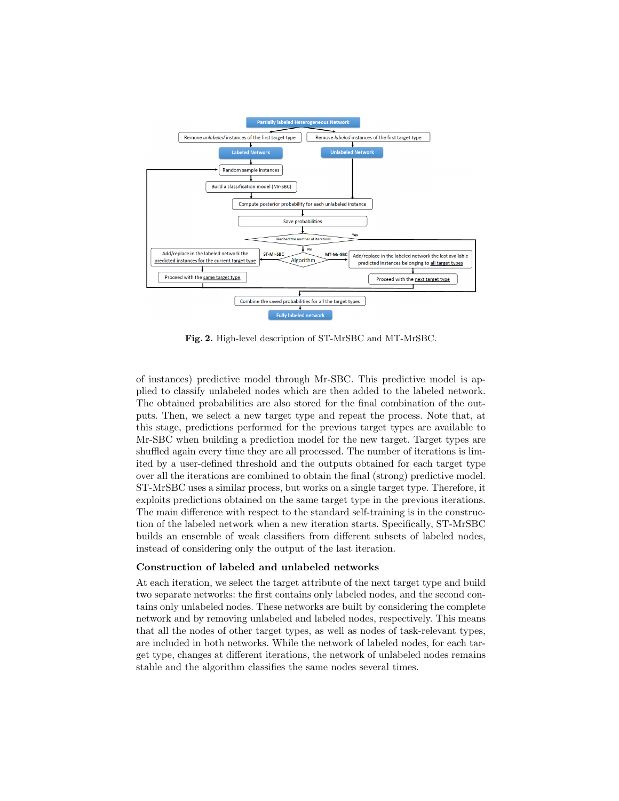

Fig. 2. High-level description of ST-MrSBC and MT-MrSBC.

of instances) predictive model through Mr-SBC. This predictive model is applied to classify unlabeled nodes which are then added to the labeled network. The obtained probabilities are also stored for the final combination of the outputs. Then, we select a new target type and repeat the process. Note that, at this stage, predictions performed for the previous target types are available to Mr-SBC when building a prediction model for the new target. Target types are shuffled again every time they are all processed. The number of iterations is limited by a user-defined threshold and the outputs obtained for each target type over all the iterations are combined to obtain the final (strong) predictive model. ST-MrSBC uses a similar process, but works on a single target type. Therefore, it exploits predictions obtained on the same target type in the previous iterations. The main difference with respect to the standard self-training is in the construction of the labeled network when a new iteration starts. Specifically, ST-MrSBC builds an ensemble of weak classifiers from different subsets of labeled nodes, instead of considering only the output of the last iteration.

#### Construction of labeled and unlabeled networks

At each iteration, we select the target attribute of the next target type and build two separate networks: the first contains only labeled nodes, and the second contains only unlabeled nodes. These networks are built by considering the complete network and by removing unlabeled and labeled nodes, respectively. This means that all the nodes of other target types, as well as nodes of task-relevant types, are included in both networks. While the network of labeled nodes, for each target type, changes at different iterations, the network of unlabeled nodes remains stable and the algorithm classifies the same nodes several times.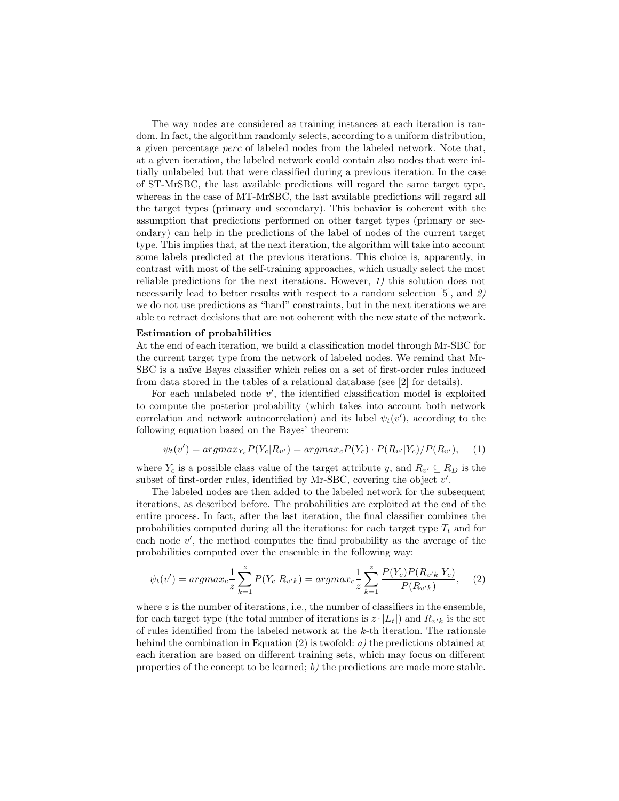The way nodes are considered as training instances at each iteration is random. In fact, the algorithm randomly selects, according to a uniform distribution, a given percentage perc of labeled nodes from the labeled network. Note that, at a given iteration, the labeled network could contain also nodes that were initially unlabeled but that were classified during a previous iteration. In the case of ST-MrSBC, the last available predictions will regard the same target type, whereas in the case of MT-MrSBC, the last available predictions will regard all the target types (primary and secondary). This behavior is coherent with the assumption that predictions performed on other target types (primary or secondary) can help in the predictions of the label of nodes of the current target type. This implies that, at the next iteration, the algorithm will take into account some labels predicted at the previous iterations. This choice is, apparently, in contrast with most of the self-training approaches, which usually select the most reliable predictions for the next iterations. However, 1) this solution does not necessarily lead to better results with respect to a random selection [5], and 2) we do not use predictions as "hard" constraints, but in the next iterations we are able to retract decisions that are not coherent with the new state of the network.

#### Estimation of probabilities

At the end of each iteration, we build a classification model through Mr-SBC for the current target type from the network of labeled nodes. We remind that Mr-SBC is a naïve Bayes classifier which relies on a set of first-order rules induced from data stored in the tables of a relational database (see [2] for details).

For each unlabeled node  $v'$ , the identified classification model is exploited to compute the posterior probability (which takes into account both network correlation and network autocorrelation) and its label  $\psi_t(v')$ , according to the following equation based on the Bayes' theorem:

$$
\psi_t(v') = argmax_{Y_c} P(Y_c|R_{v'}) = argmax_c P(Y_c) \cdot P(R_{v'}|Y_c) / P(R_{v'}), \quad (1)
$$

where  $Y_c$  is a possible class value of the target attribute y, and  $R_{v'} \subseteq R_D$  is the subset of first-order rules, identified by Mr-SBC, covering the object  $v'$ .

The labeled nodes are then added to the labeled network for the subsequent iterations, as described before. The probabilities are exploited at the end of the entire process. In fact, after the last iteration, the final classifier combines the probabilities computed during all the iterations: for each target type  $T_t$  and for each node  $v'$ , the method computes the final probability as the average of the probabilities computed over the ensemble in the following way:

$$
\psi_t(v') = argmax_c \frac{1}{z} \sum_{k=1}^{z} P(Y_c | R_{v'k}) = argmax_c \frac{1}{z} \sum_{k=1}^{z} \frac{P(Y_c)P(R_{v'k} | Y_c)}{P(R_{v'k})}, \quad (2)
$$

where  $z$  is the number of iterations, i.e., the number of classifiers in the ensemble, for each target type (the total number of iterations is  $z \cdot |L_t|$ ) and  $R_{v'k}$  is the set of rules identified from the labeled network at the k-th iteration. The rationale behind the combination in Equation (2) is twofold:  $a$ ) the predictions obtained at each iteration are based on different training sets, which may focus on different properties of the concept to be learned; b) the predictions are made more stable.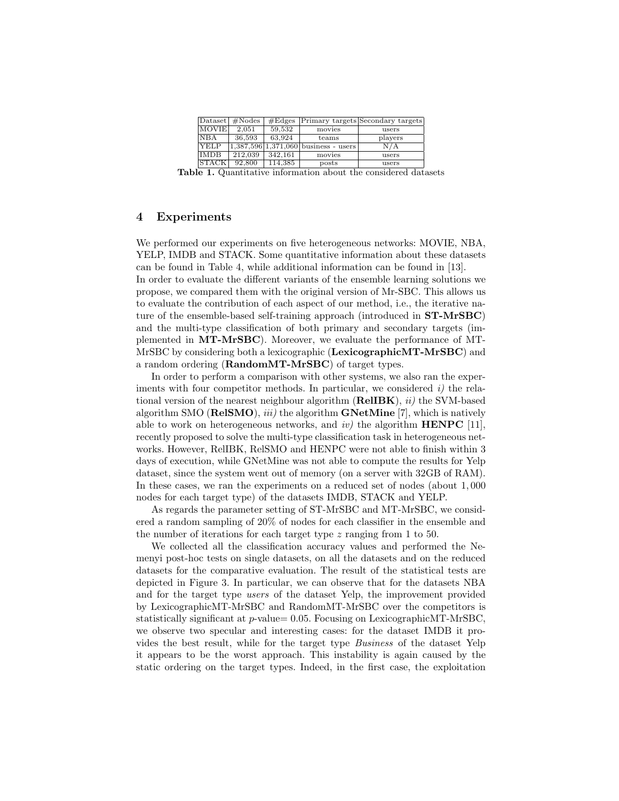| $ {\rm D}ataset $ | #Nodes  | #Edges  |                                        | Primary targets Secondary targets |
|-------------------|---------|---------|----------------------------------------|-----------------------------------|
| <b>MOVIE</b>      | 2.051   | 59.532  | movies                                 | users                             |
| <b>NBA</b>        | 36,593  | 63.924  | teams                                  | players                           |
| <b>TYELP</b>      |         |         | $1,387,596$ 1,371,060 business - users | N/A                               |
| <b>IMDB</b>       | 212.039 | 342.161 | movies                                 | users                             |
| <b>STACK</b>      | 92,800  | 114.385 | posts                                  | users                             |

Table 1. Quantitative information about the considered datasets

## 4 Experiments

We performed our experiments on five heterogeneous networks: MOVIE, NBA, YELP, IMDB and STACK. Some quantitative information about these datasets can be found in Table 4, while additional information can be found in [13].

In order to evaluate the different variants of the ensemble learning solutions we propose, we compared them with the original version of Mr-SBC. This allows us to evaluate the contribution of each aspect of our method, i.e., the iterative nature of the ensemble-based self-training approach (introduced in ST-MrSBC) and the multi-type classification of both primary and secondary targets (implemented in MT-MrSBC). Moreover, we evaluate the performance of MT-MrSBC by considering both a lexicographic (LexicographicMT-MrSBC) and a random ordering (RandomMT-MrSBC) of target types.

In order to perform a comparison with other systems, we also ran the experiments with four competitor methods. In particular, we considered  $i$ ) the relational version of the nearest neighbour algorithm  $(ReLUBK)$ ,  $ii)$  the SVM-based algorithm SMO (**RelSMO**), *iii*) the algorithm **GNetMine** [7], which is natively able to work on heterogeneous networks, and  $iv$ ) the algorithm **HENPC** [11], recently proposed to solve the multi-type classification task in heterogeneous networks. However, RelIBK, RelSMO and HENPC were not able to finish within 3 days of execution, while GNetMine was not able to compute the results for Yelp dataset, since the system went out of memory (on a server with 32GB of RAM). In these cases, we ran the experiments on a reduced set of nodes (about 1, 000 nodes for each target type) of the datasets IMDB, STACK and YELP.

As regards the parameter setting of ST-MrSBC and MT-MrSBC, we considered a random sampling of 20% of nodes for each classifier in the ensemble and the number of iterations for each target type z ranging from 1 to 50.

We collected all the classification accuracy values and performed the Nemenyi post-hoc tests on single datasets, on all the datasets and on the reduced datasets for the comparative evaluation. The result of the statistical tests are depicted in Figure 3. In particular, we can observe that for the datasets NBA and for the target type users of the dataset Yelp, the improvement provided by LexicographicMT-MrSBC and RandomMT-MrSBC over the competitors is statistically significant at p-value= 0.05. Focusing on LexicographicMT-MrSBC, we observe two specular and interesting cases: for the dataset IMDB it provides the best result, while for the target type Business of the dataset Yelp it appears to be the worst approach. This instability is again caused by the static ordering on the target types. Indeed, in the first case, the exploitation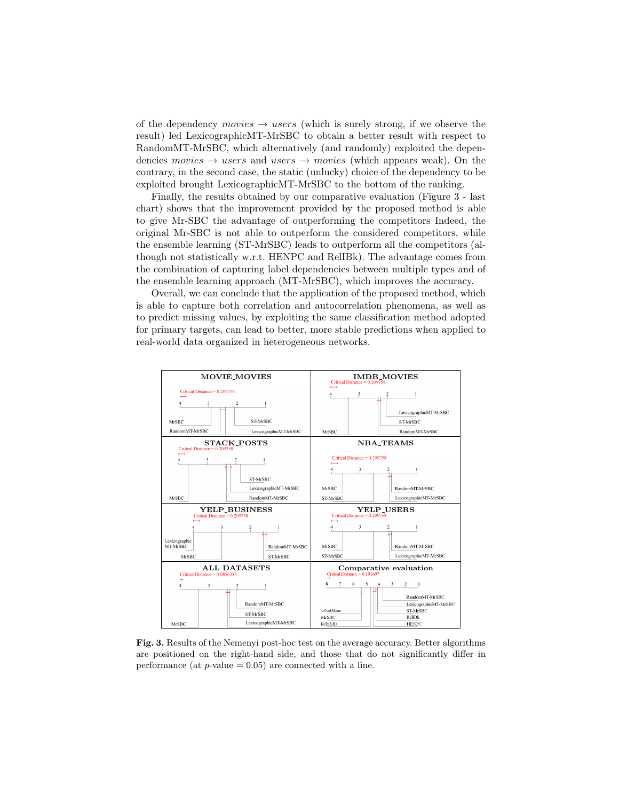of the dependency movies  $\rightarrow$  users (which is surely strong, if we observe the result) led LexicographicMT-MrSBC to obtain a better result with respect to RandomMT-MrSBC, which alternatively (and randomly) exploited the dependencies movies  $\rightarrow$  users and users  $\rightarrow$  movies (which appears weak). On the contrary, in the second case, the static (unlucky) choice of the dependency to be exploited brought LexicographicMT-MrSBC to the bottom of the ranking.

Finally, the results obtained by our comparative evaluation (Figure 3 - last chart) shows that the improvement provided by the proposed method is able to give Mr-SBC the advantage of outperforming the competitors Indeed, the original Mr-SBC is not able to outperform the considered competitors, while the ensemble learning (ST-MrSBC) leads to outperform all the competitors (although not statistically w.r.t. HENPC and RelIBk). The advantage comes from the combination of capturing label dependencies between multiple types and of the ensemble learning approach (MT-MrSBC), which improves the accuracy.

Overall, we can conclude that the application of the proposed method, which is able to capture both correlation and autocorrelation phenomena, as well as to predict missing values, by exploiting the same classification method adopted for primary targets, can lead to better, more stable predictions when applied to real-world data organized in heterogeneous networks.



Fig. 3. Results of the Nemenyi post-hoc test on the average accuracy. Better algorithms are positioned on the right-hand side, and those that do not significantly differ in performance (at  $p$ -value = 0.05) are connected with a line.